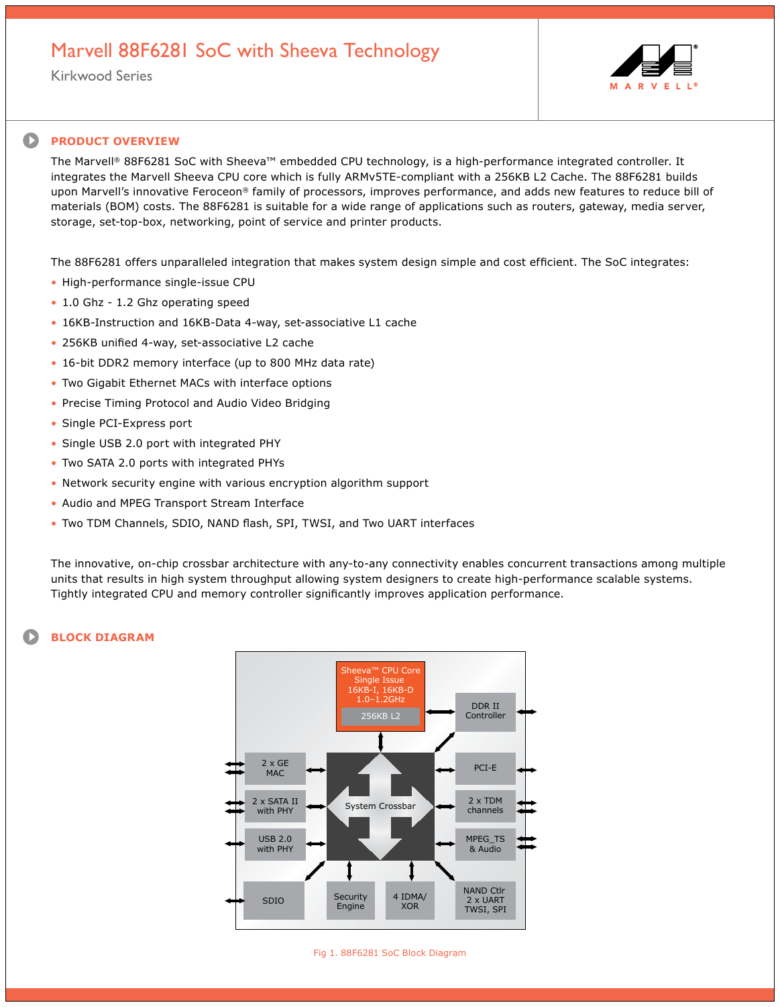## Marvell 88F6281 SoC with Sheeva Technology

Kirkwood Series



## $\bullet$ **PRODUCT OVERVIEW**

The Marvell® 88F6281 SoC with Sheeva™ embedded CPU technology, is a high-performance integrated controller. It integrates the Marvell Sheeva CPU core which is fully ARMv5TE-compliant with a 256KB L2 Cache. The 88F6281 builds upon Marvell's innovative Feroceon® family of processors, improves performance, and adds new features to reduce bill of materials (BOM) costs. The 88F6281 is suitable for a wide range of applications such as routers, gateway, media server, storage, set-top-box, networking, point of service and printer products.

The 88F6281 offers unparalleled integration that makes system design simple and cost efficient. The SoC integrates:

- High-performance single-issue CPU
- 1.0 Ghz 1.2 Ghz operating speed
- 16KB-Instruction and 16KB-Data 4-way, set-associative L1 cache
- 256KB unified 4-way, set-associative L2 cache
- 16-bit DDR2 memory interface (up to 800 MHz data rate)
- Two Gigabit Ethernet MACs with interface options
- Precise Timing Protocol and Audio Video Bridging
- Single PCI-Express port
- Single USB 2.0 port with integrated PHY
- Two SATA 2.0 ports with integrated PHYs
- Network security engine with various encryption algorithm support
- Audio and MPEG Transport Stream Interface
- Two TDM Channels, SDIO, NAND flash, SPI, TWSI, and Two UART interfaces

The innovative, on-chip crossbar architecture with any-to-any connectivity enables concurrent transactions among multiple units that results in high system throughput allowing system designers to create high-performance scalable systems. Tightly integrated CPU and memory controller significantly improves application performance.

## **BLOCK DIAGRAM**



Fig 1. 88F6281 SoC Block Diagram